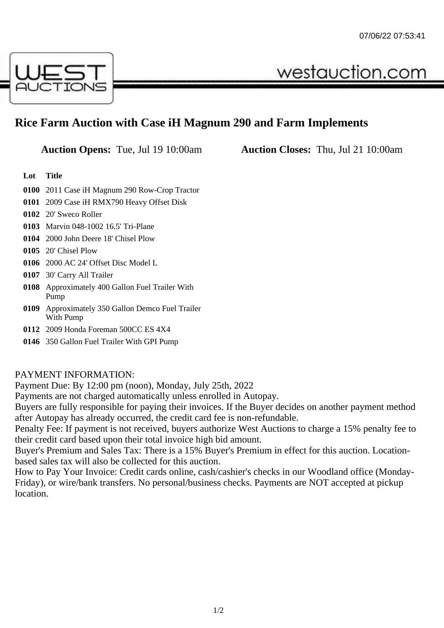

## **Rice Farm Auction with Case iH Magnum 290 and Farm Implements**

**Auction Opens:** Tue, Jul 19 10:00am **Auction Closes:** Thu, Jul 21 10:00am

westauction.com

## **Lot Title**

- **0100** 2011 Case iH Magnum 290 Row-Crop Tractor
- **0101** 2009 Case iH RMX790 Heavy Offset Disk
- **0102** 20' Sweco Roller
- **0103** Marvin 048-1002 16.5' Tri-Plane
- **0104** 2000 John Deere 18' Chisel Plow
- **0105** 20' Chisel Plow
- **0106** 2000 AC 24' Offset Disc Model L
- **0107** 30' Carry All Trailer
- **0108** Approximately 400 Gallon Fuel Trailer With Pump
- **0109** Approximately 350 Gallon Demco Fuel Trailer With Pump
- **0112** 2009 Honda Foreman 500CC ES 4X4
- **0146** 350 Gallon Fuel Trailer With GPI Pump

## PAYMENT INFORMATION:

Payment Due: By 12:00 pm (noon), Monday, July 25th, 2022

Payments are not charged automatically unless enrolled in Autopay.

Buyers are fully responsible for paying their invoices. If the Buyer decides on another payment method after Autopay has already occurred, the credit card fee is non-refundable.

Penalty Fee: If payment is not received, buyers authorize West Auctions to charge a 15% penalty fee to their credit card based upon their total invoice high bid amount.

Buyer's Premium and Sales Tax: There is a 15% Buyer's Premium in effect for this auction. Locationbased sales tax will also be collected for this auction.

How to Pay Your Invoice: Credit cards online, cash/cashier's checks in our Woodland office (Monday-Friday), or wire/bank transfers. No personal/business checks. Payments are NOT accepted at pickup location.